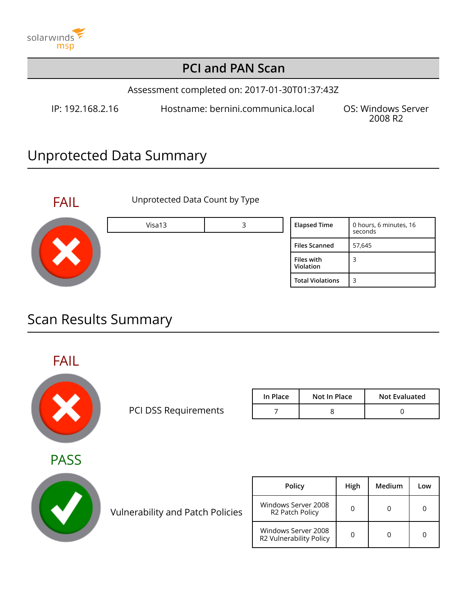

### **PCI and PAN Scan**

Assessment completed on: 2017-01-30T01:37:43Z

IP: 192.168.2.16 Hostname: bernini.communica.local OS: Windows Server

2008 R2

## Unprotected Data Summary



FAIL Unprotected Data Count by Type

| Visa13 | <b>Elapsed Time</b>     | 0 hours, 6 minutes, 16<br>seconds |
|--------|-------------------------|-----------------------------------|
|        | <b>Files Scanned</b>    | 57,645                            |
|        | Files with<br>Violation | 3                                 |
|        | <b>Total Violations</b> | 3                                 |

### Scan Results Summary

FAIL



PCI DSS Requirements

| In Place | Not In Place | <b>Not Evaluated</b> |
|----------|--------------|----------------------|
|          |              |                      |

**PASS** 



Vulnerability and Patch Policies

| <b>Policy</b>                                  | High | Medium | Low |
|------------------------------------------------|------|--------|-----|
| Windows Server 2008<br>R2 Patch Policy         |      |        |     |
| Windows Server 2008<br>R2 Vulnerability Policy |      |        |     |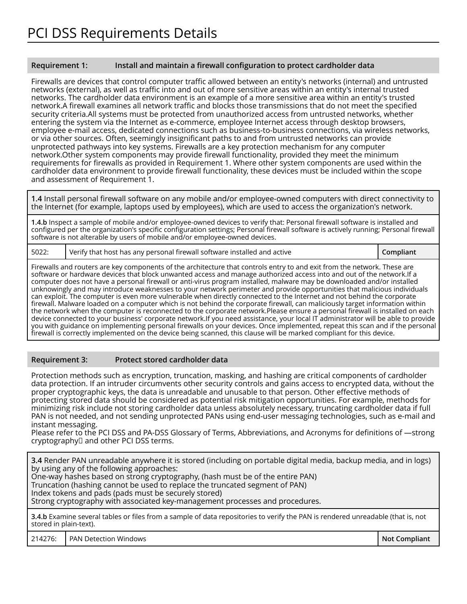#### **Requirement 1: Install and maintain a firewall configuration to protect cardholder data**

Firewalls are devices that control computer traffic allowed between an entity's networks (internal) and untrusted networks (external), as well as traffic into and out of more sensitive areas within an entity's internal trusted networks. The cardholder data environment is an example of a more sensitive area within an entity's trusted network.A firewall examines all network traffic and blocks those transmissions that do not meet the specified security criteria.All systems must be protected from unauthorized access from untrusted networks, whether entering the system via the Internet as e-commerce, employee Internet access through desktop browsers, employee e-mail access, dedicated connections such as business-to-business connections, via wireless networks, or via other sources. Often, seemingly insignificant paths to and from untrusted networks can provide unprotected pathways into key systems. Firewalls are a key protection mechanism for any computer network.Other system components may provide firewall functionality, provided they meet the minimum requirements for firewalls as provided in Requirement 1. Where other system components are used within the cardholder data environment to provide firewall functionality, these devices must be included within the scope and assessment of Requirement 1.

**1.4** Install personal firewall software on any mobile and/or employee-owned computers with direct connectivity to the Internet (for example, laptops used by employees), which are used to access the organization's network.

**1.4.b** Inspect a sample of mobile and/or employee-owned devices to verify that: Personal firewall software is installed and configured per the organization's specific configuration settings; Personal firewall software is actively running; Personal firewall software is not alterable by users of mobile and/or employee-owned devices.

5022: Verify that host has any personal firewall software installed and active **Compliant Compliant** 

Firewalls and routers are key components of the architecture that controls entry to and exit from the network. These are software or hardware devices that block unwanted access and manage authorized access into and out of the network.If a computer does not have a personal firewall or anti-virus program installed, malware may be downloaded and/or installed unknowingly and may introduce weaknesses to your network perimeter and provide opportunities that malicious individuals can exploit. The computer is even more vulnerable when directly connected to the Internet and not behind the corporate firewall. Malware loaded on a computer which is not behind the corporate firewall, can maliciously target information within the network when the computer is reconnected to the corporate network.Please ensure a personal firewall is installed on each device connected to your business' corporate network.If you need assistance, your local IT administrator will be able to provide you with guidance on implementing personal firewalls on your devices. Once implemented, repeat this scan and if the personal firewall is correctly implemented on the device being scanned, this clause will be marked compliant for this device.

#### **Requirement 3: Protect stored cardholder data**

Protection methods such as encryption, truncation, masking, and hashing are critical components of cardholder data protection. If an intruder circumvents other security controls and gains access to encrypted data, without the proper cryptographic keys, the data is unreadable and unusable to that person. Other effective methods of protecting stored data should be considered as potential risk mitigation opportunities. For example, methods for minimizing risk include not storing cardholder data unless absolutely necessary, truncating cardholder data if full PAN is not needed, and not sending unprotected PANs using end-user messaging technologies, such as e-mail and instant messaging.

Please refer to the PCI DSS and PA-DSS Glossary of Terms, Abbreviations, and Acronyms for definitions of ―strong cryptography‖ and other PCI DSS terms.

**3.4** Render PAN unreadable anywhere it is stored (including on portable digital media, backup media, and in logs) by using any of the following approaches: One-way hashes based on strong cryptography, (hash must be of the entire PAN) Truncation (hashing cannot be used to replace the truncated segment of PAN) Index tokens and pads (pads must be securely stored) Strong cryptography with associated key-management processes and procedures. **3.4.b** Examine several tables or files from a sample of data repositories to verify the PAN is rendered unreadable (that is, not stored in plain-text).

214276: PAN Detection Windows **Not Compliant**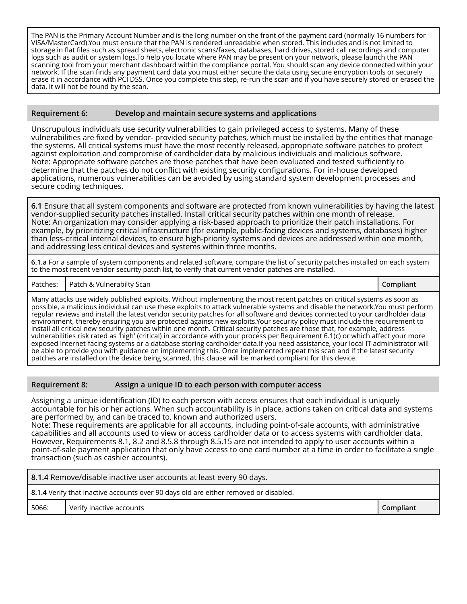The PAN is the Primary Account Number and is the long number on the front of the payment card (normally 16 numbers for VISA/MasterCard).You must ensure that the PAN is rendered unreadable when stored. This includes and is not limited to storage in flat files such as spread sheets, electronic scans/faxes, databases, hard drives, stored call recordings and computer logs such as audit or system logs.To help you locate where PAN may be present on your network, please launch the PAN scanning tool from your merchant dashboard within the compliance portal. You should scan any device connected within your network. If the scan finds any payment card data you must either secure the data using secure encryption tools or securely erase it in accordance with PCI DSS. Once you complete this step, re-run the scan and if you have securely stored or erased the data, it will not be found by the scan.

#### **Requirement 6: Develop and maintain secure systems and applications**

Unscrupulous individuals use security vulnerabilities to gain privileged access to systems. Many of these vulnerabilities are fixed by vendor- provided security patches, which must be installed by the entities that manage the systems. All critical systems must have the most recently released, appropriate software patches to protect against exploitation and compromise of cardholder data by malicious individuals and malicious software. Note: Appropriate software patches are those patches that have been evaluated and tested sufficiently to determine that the patches do not conflict with existing security configurations. For in-house developed applications, numerous vulnerabilities can be avoided by using standard system development processes and secure coding techniques.

**6.1** Ensure that all system components and software are protected from known vulnerabilities by having the latest vendor-supplied security patches installed. Install critical security patches within one month of release. Note: An organization may consider applying a risk-based approach to prioritize their patch installations. For example, by prioritizing critical infrastructure (for example, public-facing devices and systems, databases) higher than less-critical internal devices, to ensure high-priority systems and devices are addressed within one month, and addressing less critical devices and systems within three months.

**6.1.a** For a sample of system components and related software, compare the list of security patches installed on each system to the most recent vendor security patch list, to verify that current vendor patches are installed.

Patches: Patch & Vulnerabilty Scan **Compliant**

Many attacks use widely published exploits. Without implementing the most recent patches on critical systems as soon as possible, a malicious individual can use these exploits to attack vulnerable systems and disable the network.You must perform regular reviews and install the latest vendor security patches for all software and devices connected to your cardholder data environment, thereby ensuring you are protected against new exploits.Your security policy must include the requirement to install all critical new security patches within one month. Critical security patches are those that, for example, address vulnerabilities risk rated as 'high' (critical) in accordance with your process per Requirement 6.1(c) or which affect your more exposed Internet-facing systems or a database storing cardholder data.If you need assistance, your local IT administrator will be able to provide you with guidance on implementing this. Once implemented repeat this scan and if the latest security patches are installed on the device being scanned, this clause will be marked compliant for this device.

#### **Requirement 8: Assign a unique ID to each person with computer access**

Assigning a unique identification (ID) to each person with access ensures that each individual is uniquely accountable for his or her actions. When such accountability is in place, actions taken on critical data and systems are performed by, and can be traced to, known and authorized users.

Note: These requirements are applicable for all accounts, including point-of-sale accounts, with administrative capabilities and all accounts used to view or access cardholder data or to access systems with cardholder data. However, Requirements 8.1, 8.2 and 8.5.8 through 8.5.15 are not intended to apply to user accounts within a point-of-sale payment application that only have access to one card number at a time in order to facilitate a single transaction (such as cashier accounts).

|                                                                                      | 8.1.4 Remove/disable inactive user accounts at least every 90 days. |  |  |  |
|--------------------------------------------------------------------------------------|---------------------------------------------------------------------|--|--|--|
| 8.1.4 Verify that inactive accounts over 90 days old are either removed or disabled. |                                                                     |  |  |  |
| Compliant<br>Verify inactive accounts<br>5066:                                       |                                                                     |  |  |  |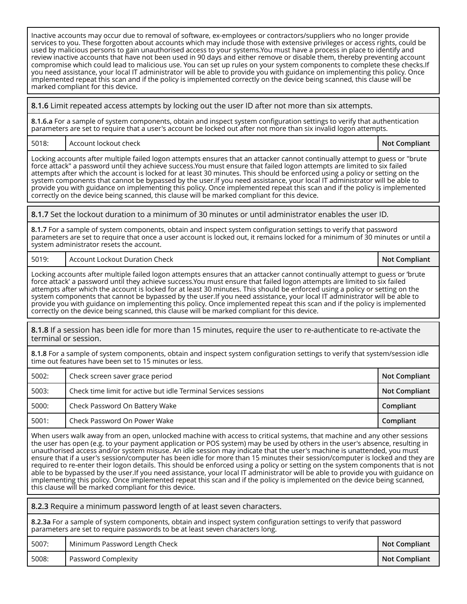Inactive accounts may occur due to removal of software, ex-employees or contractors/suppliers who no longer provide services to you. These forgotten about accounts which may include those with extensive privileges or access rights, could be used by malicious persons to gain unauthorised access to your systems.You must have a process in place to identify and review inactive accounts that have not been used in 90 days and either remove or disable them, thereby preventing account compromise which could lead to malicious use. You can set up rules on your system components to complete these checks.If you need assistance, your local IT administrator will be able to provide you with guidance on implementing this policy. Once implemented repeat this scan and if the policy is implemented correctly on the device being scanned, this clause will be marked compliant for this device.

**8.1.6** Limit repeated access attempts by locking out the user ID after not more than six attempts.

**8.1.6.a** For a sample of system components, obtain and inspect system configuration settings to verify that authentication parameters are set to require that a user's account be locked out after not more than six invalid logon attempts.

5018: Account lockout check **Not Compliant**

Locking accounts after multiple failed logon attempts ensures that an attacker cannot continually attempt to guess or "brute force attack" a password until they achieve success.You must ensure that failed logon attempts are limited to six failed attempts after which the account is locked for at least 30 minutes. This should be enforced using a policy or setting on the system components that cannot be bypassed by the user.If you need assistance, your local IT administrator will be able to provide you with guidance on implementing this policy. Once implemented repeat this scan and if the policy is implemented correctly on the device being scanned, this clause will be marked compliant for this device.

**8.1.7** Set the lockout duration to a minimum of 30 minutes or until administrator enables the user ID.

**8.1.7** For a sample of system components, obtain and inspect system configuration settings to verify that password parameters are set to require that once a user account is locked out, it remains locked for a minimum of 30 minutes or until a system administrator resets the account.

5019: Account Lockout Duration Check **Not Compliant**

Locking accounts after multiple failed logon attempts ensures that an attacker cannot continually attempt to guess or 'brute force attack' a password until they achieve success.You must ensure that failed logon attempts are limited to six failed attempts after which the account is locked for at least 30 minutes. This should be enforced using a policy or setting on the system components that cannot be bypassed by the user.If you need assistance, your local IT administrator will be able to provide you with guidance on implementing this policy. Once implemented repeat this scan and if the policy is implemented correctly on the device being scanned, this clause will be marked compliant for this device.

**8.1.8** If a session has been idle for more than 15 minutes, require the user to re-authenticate to re-activate the terminal or session.

**8.1.8** For a sample of system components, obtain and inspect system configuration settings to verify that system/session idle time out features have been set to 15 minutes or less.

| 5002: | Check screen saver grace period                                 | <b>Not Compliant</b> |
|-------|-----------------------------------------------------------------|----------------------|
| 5003: | Check time limit for active but idle Terminal Services sessions | <b>Not Compliant</b> |
| 5000: | Check Password On Battery Wake                                  | Compliant            |
| 5001: | Check Password On Power Wake                                    | Compliant            |

When users walk away from an open, unlocked machine with access to critical systems, that machine and any other sessions the user has open (e.g. to your payment application or POS system) may be used by others in the user's absence, resulting in unauthorised access and/or system misuse. An idle session may indicate that the user's machine is unattended, you must ensure that if a user's session/computer has been idle for more than 15 minutes their session/computer is locked and they are required to re-enter their logon details. This should be enforced using a policy or setting on the system components that is not able to be bypassed by the user.If you need assistance, your local IT administrator will be able to provide you with guidance on implementing this policy. Once implemented repeat this scan and if the policy is implemented on the device being scanned, this clause will be marked compliant for this device.

**8.2.3** Require a minimum password length of at least seven characters. **8.2.3a** For a sample of system components, obtain and inspect system configuration settings to verify that password parameters are set to require passwords to be at least seven characters long. 5007: Minimum Password Length Check **Not Compliant Not Compliant** 5008: Password Complexity **Not Compliant**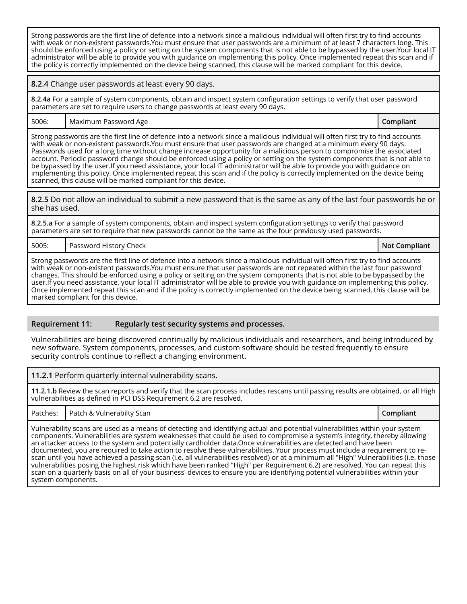Strong passwords are the first line of defence into a network since a malicious individual will often first try to find accounts with weak or non-existent passwords.You must ensure that user passwords are a minimum of at least 7 characters long. This should be enforced using a policy or setting on the system components that is not able to be bypassed by the user.Your local IT administrator will be able to provide you with guidance on implementing this policy. Once implemented repeat this scan and if the policy is correctly implemented on the device being scanned, this clause will be marked compliant for this device.

**8.2.4** Change user passwords at least every 90 days.

**8.2.4a** For a sample of system components, obtain and inspect system configuration settings to verify that user password parameters are set to require users to change passwords at least every 90 days.

5006: Maximum Password Age **Compliant**

Strong passwords are the first line of defence into a network since a malicious individual will often first try to find accounts with weak or non-existent passwords.You must ensure that user passwords are changed at a minimum every 90 days. Passwords used for a long time without change increase opportunity for a malicious person to compromise the associated account. Periodic password change should be enforced using a policy or setting on the system components that is not able to be bypassed by the user.If you need assistance, your local IT administrator will be able to provide you with guidance on implementing this policy. Once implemented repeat this scan and if the policy is correctly implemented on the device being scanned, this clause will be marked compliant for this device.

**8.2.5** Do not allow an individual to submit a new password that is the same as any of the last four passwords he or she has used.

**8.2.5.a** For a sample of system components, obtain and inspect system configuration settings to verify that password parameters are set to require that new passwords cannot be the same as the four previously used passwords.

5005: Password History Check **Not Compliant**

Strong passwords are the first line of defence into a network since a malicious individual will often first try to find accounts with weak or non-existent passwords.You must ensure that user passwords are not repeated within the last four password changes. This should be enforced using a policy or setting on the system components that is not able to be bypassed by the user.If you need assistance, your local IT administrator will be able to provide you with guidance on implementing this policy. Once implemented repeat this scan and if the policy is correctly implemented on the device being scanned, this clause will be marked compliant for this device.

#### **Requirement 11: Regularly test security systems and processes.**

Vulnerabilities are being discovered continually by malicious individuals and researchers, and being introduced by new software. System components, processes, and custom software should be tested frequently to ensure security controls continue to reflect a changing environment.

#### **11.2.1** Perform quarterly internal vulnerability scans.

**11.2.1.b** Review the scan reports and verify that the scan process includes rescans until passing results are obtained, or all High vulnerabilities as defined in PCI DSS Requirement 6.2 are resolved.

Patches: Patch & Vulnerabilty Scan **Compliant**

Vulnerability scans are used as a means of detecting and identifying actual and potential vulnerabilities within your system components. Vulnerabilities are system weaknesses that could be used to compromise a system's integrity, thereby allowing an attacker access to the system and potentially cardholder data.Once vulnerabilities are detected and have been documented, you are required to take action to resolve these vulnerabilities. Your process must include a requirement to rescan until you have achieved a passing scan (i.e. all vulnerabilities resolved) or at a minimum all "High" Vulnerabilities (i.e. those vulnerabilities posing the highest risk which have been ranked "High" per Requirement 6.2) are resolved. You can repeat this scan on a quarterly basis on all of your business' devices to ensure you are identifying potential vulnerabilities within your system components.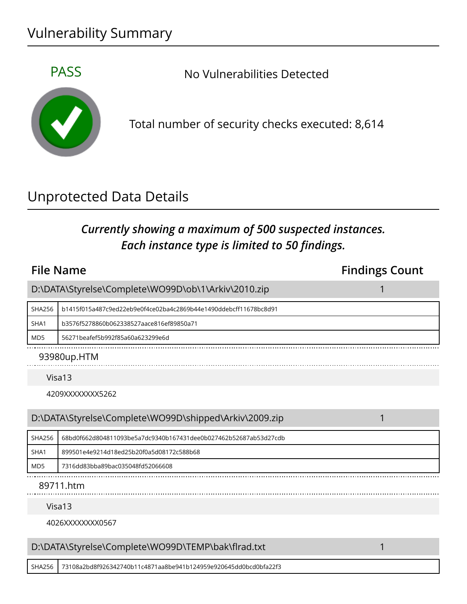## Vulnerability Summary



PASS No Vulnerabilities Detected

Total number of security checks executed: 8,614

## Unprotected Data Details

### *Currently showing a maximum of 500 suspected instances. Each instance type is limited to 50 findings.*

### **File Name Findings Count** D:\DATA\Styrelse\Complete\WO99D\ob\1\Arkiv\2010.zip 1 SHA256 b1415f015a487c9ed22eb9e0f4ce02ba4c2869b44e1490ddebcff11678bc8d91 SHA1 b3576f5278860b062338527aace816ef89850a71 MD5 56271beafef5b992f85a60a623299e6d 93980up.HTM Visa13 4209XXXXXXXX5262 D:\DATA\Styrelse\Complete\WO99D\shipped\Arkiv\2009.zip 1 SHA256 68bd0f662d804811093be5a7dc9340b167431dee0b027462b52687ab53d27cdb SHA1 899501e4e9214d18ed25b20f0a5d08172c588b68 MD5 7316dd83bba89bac035048fd52066608 89711.htm Visa13 4026XXXXXXXX0567 D:\DATA\Styrelse\Complete\WO99D\TEMP\bak\flrad.txt 1

SHA256 73108a2bd8f926342740b11c4871aa8be941b124959e920645dd0bcd0bfa22f3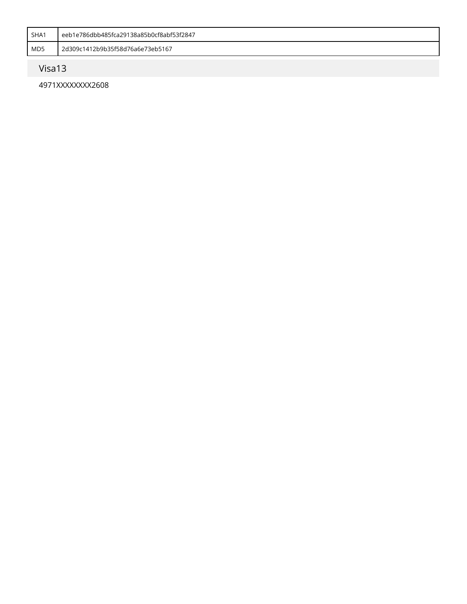| SHA1 | eeb1e786dbb485fca29138a85b0cf8abf53f2847 |
|------|------------------------------------------|
| MD5  | 2d309c1412b9b35f58d76a6e73eb5167         |

### Visa13

4971XXXXXXXX2608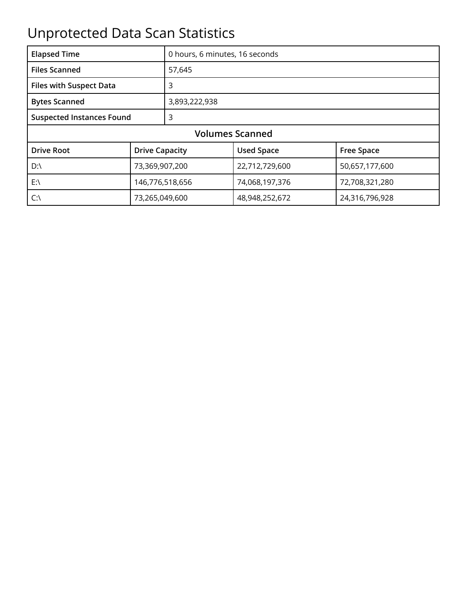# Unprotected Data Scan Statistics

| <b>Elapsed Time</b>                   |                       | 0 hours, 6 minutes, 16 seconds |                   |                   |
|---------------------------------------|-----------------------|--------------------------------|-------------------|-------------------|
| <b>Files Scanned</b>                  |                       | 57,645                         |                   |                   |
| <b>Files with Suspect Data</b>        |                       | 3                              |                   |                   |
| <b>Bytes Scanned</b><br>3,893,222,938 |                       |                                |                   |                   |
| <b>Suspected Instances Found</b>      |                       | 3                              |                   |                   |
| <b>Volumes Scanned</b>                |                       |                                |                   |                   |
| <b>Drive Root</b>                     | <b>Drive Capacity</b> |                                | <b>Used Space</b> | <b>Free Space</b> |
| $D:\setminus$                         | 73,369,907,200        |                                | 22,712,729,600    | 50,657,177,600    |
| $E:\setminus$                         | 146,776,518,656       |                                | 74,068,197,376    | 72,708,321,280    |
| $C:\setminus$                         | 73,265,049,600        |                                | 48,948,252,672    | 24,316,796,928    |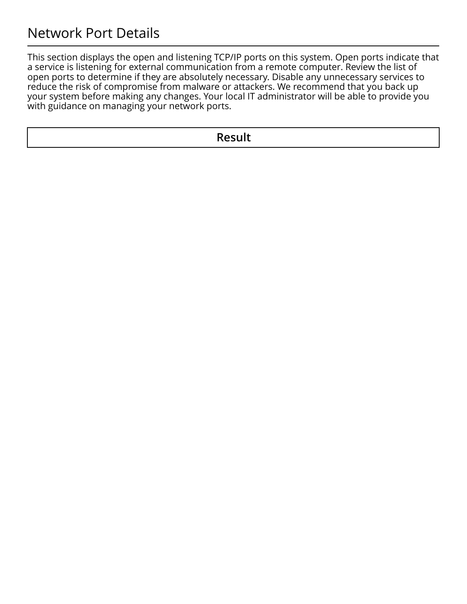### Network Port Details

This section displays the open and listening TCP/IP ports on this system. Open ports indicate that a service is listening for external communication from a remote computer. Review the list of open ports to determine if they are absolutely necessary. Disable any unnecessary services to reduce the risk of compromise from malware or attackers. We recommend that you back up your system before making any changes. Your local IT administrator will be able to provide you with guidance on managing your network ports.